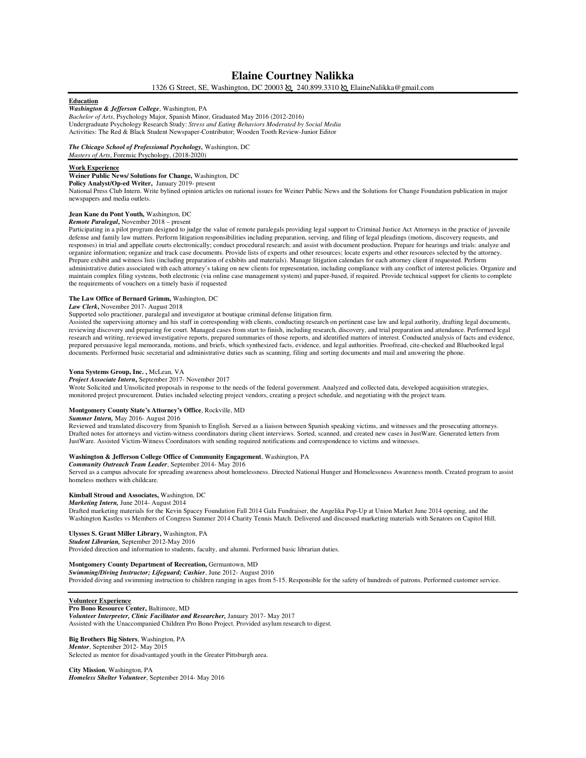## **Elaine Courtney Nalikka**

1326 G Street, SE, Washington, DC 20003  $\&$  240.899.3310  $\&$  ElaineNalikka@gmail.com

### **Education**

*Washington & Jefferson College*, Washington, PA *Bachelor of Arts*, Psychology Major, Spanish Minor, Graduated May 2016 (2012-2016) Undergraduate Psychology Research Study: *Stress and Eating Behaviors Moderated by Social Media* Activities: The Red & Black Student Newspaper-Contributor; Wooden Tooth Review-Junior Editor

# *The Chicago School of Professional Psychology,* Washington, DC

## *Masters of Arts*, Forensic Psychology, (2018-2020)

#### **Work Experience**

## **Weiner Public News/ Solutions for Change,** Washington, DC

**Policy Analyst/Op-ed Writer,** January 2019- present

National Press Club Intern. Write bylined opinion articles on national issues for Weiner Public News and the Solutions for Change Foundation publication in major newspapers and media outlets.

## **Jean Kane du Pont Youth,** Washington, DC

## *Remote Paralegal***,** November 2018 – present

Participating in a pilot program designed to judge the value of remote paralegals providing legal support to Criminal Justice Act Attorneys in the practice of juvenile defense and family law matters. Perform litigation responsibilities including preparation, serving, and filing of legal pleadings (motions, discovery requests, and responses) in trial and appellate courts electronically; conduct procedural research; and assist with document production. Prepare for hearings and trials: analyze and organize information; organize and track case documents. Provide lists of experts and other resources; locate experts and other resources selected by the attorney. Prepare exhibit and witness lists (including preparation of exhibits and materials). Manage litigation calendars for each attorney client if requested. Perform administrative duties associated with each attorney's taking on new clients for representation, including compliance with any conflict of interest policies. Organize and maintain complex filing systems, both electronic (via online case management system) and paper-based, if required. Provide technical support for clients to complete the requirements of vouchers on a timely basis if requested

## **The Law Office of Bernard Grimm,** Washington, DC

## *Law Clerk***,** November 2017- August 2018

### Supported solo practitioner, paralegal and investigator at boutique criminal defense litigation firm.

Assisted the supervising attorney and his staff in corresponding with clients, conducting research on pertinent case law and legal authority, drafting legal documents, reviewing discovery and preparing for court. Managed cases from start to finish, including research, discovery, and trial preparation and attendance. Performed legal research and writing, reviewed investigative reports, prepared summaries of those reports, and identified matters of interest. Conducted analysis of facts and evidence, prepared persuasive legal memoranda, motions, and briefs, which synthesized facts, evidence, and legal authorities. Proofread, cite-checked and Bluebooked legal documents. Performed basic secretarial and administrative duties such as scanning, filing and sorting documents and mail and answering the phone.

#### **Yona Systems Group, Inc. ,** McLean, VA

## *Project Associate Intern***,** September 2017- November 2017

Wrote Solicited and Unsolicited proposals in response to the needs of the federal government. Analyzed and collected data, developed acquisition strategies, monitored project procurement. Duties included selecting project vendors, creating a project schedule, and negotiating with the project team.

#### **Montgomery County State's Attorney's Office**, Rockville, MD

#### *Summer Intern,* May 2016- August 2016

Reviewed and translated discovery from Spanish to English. Served as a liaison between Spanish speaking victims, and witnesses and the prosecuting attorneys. Drafted notes for attorneys and victim-witness coordinators during client interviews. Sorted, scanned, and created new cases in JustWare. Generated letters from JustWare. Assisted Victim-Witness Coordinators with sending required notifications and correspondence to victims and witnesses.

# **Washington & Jefferson College Office of Community Engagement**, Washington, PA

*Community Outreach Team Leader*, September 2014- May 2016

Served as a campus advocate for spreading awareness about homelessness. Directed National Hunger and Homelessness Awareness month. Created program to assist homeless mothers with childcare.

### **Kimball Stroud and Associates,** Washington, DC

## *Marketing Intern,* June 2014- August 2014

Drafted marketing materials for the Kevin Spacey Foundation Fall 2014 Gala Fundraiser, the Angelika Pop-Up at Union Market June 2014 opening, and the Washington Kastles vs Members of Congress Summer 2014 Charity Tennis Match. Delivered and discussed marketing materials with Senators on Capitol Hill.

## **Ulysses S. Grant Miller Library,** Washington, PA

*Student Librarian,* September 2012-May 2016 Provided direction and information to students, faculty, and alumni. Performed basic librarian duties.

### **Montgomery County Department of Recreation,** Germantown, MD

*Swimming/Diving Instructor; Lifeguard; Cashier*, June 2012- August 2016 Provided diving and swimming instruction to children ranging in ages from 5-15. Responsible for the safety of hundreds of patrons. Performed customer service.

#### **Volunteer Experience**

**Pro Bono Resource Center,** Baltimore, MD *Volunteer Interpreter, Clinic Facilitator and Researcher,* January 2017- May 2017 Assisted with the Unaccompanied Children Pro Bono Project. Provided asylum research to digest.

## **Big Brothers Big Sisters**, Washington, PA

*Mentor*, September 2012- May 2015 Selected as mentor for disadvantaged youth in the Greater Pittsburgh area.

**City Mission**, Washington, PA *Homeless Shelter Volunteer*, September 2014- May 2016